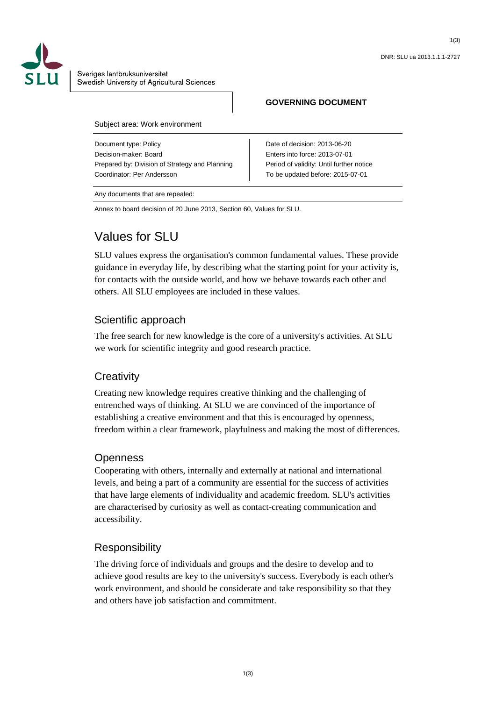

Sveriges lantbruksuniversitet Swedish University of Agricultural Sciences

### **GOVERNING DOCUMENT**

Subject area: Work environment

Document type: Policy Decision-maker: Board Prepared by: Division of Strategy and Planning Coordinator: Per Andersson

Date of decision: 2013-06-20 Enters into force: 2013-07-01 Period of validity: Until further notice To be updated before: 2015-07-01

Any documents that are repealed:

Annex to board decision of 20 June 2013, Section 60, Values for SLU.

# Values for SLU

SLU values express the organisation's common fundamental values. These provide guidance in everyday life, by describing what the starting point for your activity is, for contacts with the outside world, and how we behave towards each other and others. All SLU employees are included in these values.

# Scientific approach

The free search for new knowledge is the core of a university's activities. At SLU we work for scientific integrity and good research practice.

# **Creativity**

Creating new knowledge requires creative thinking and the challenging of entrenched ways of thinking. At SLU we are convinced of the importance of establishing a creative environment and that this is encouraged by openness, freedom within a clear framework, playfulness and making the most of differences.

### **Openness**

Cooperating with others, internally and externally at national and international levels, and being a part of a community are essential for the success of activities that have large elements of individuality and academic freedom. SLU's activities are characterised by curiosity as well as contact-creating communication and accessibility.

# Responsibility

The driving force of individuals and groups and the desire to develop and to achieve good results are key to the university's success. Everybody is each other's work environment, and should be considerate and take responsibility so that they and others have job satisfaction and commitment.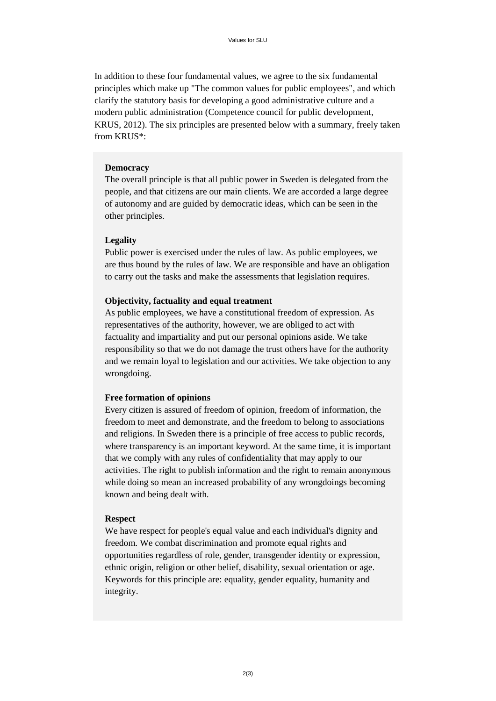In addition to these four fundamental values, we agree to the six fundamental principles which make up "The common values for public employees", and which clarify the statutory basis for developing a good administrative culture and a modern public administration (Competence council for public development, KRUS, 2012). The six principles are presented below with a summary, freely taken from KRUS\*:

#### **Democracy**

The overall principle is that all public power in Sweden is delegated from the people, and that citizens are our main clients. We are accorded a large degree of autonomy and are guided by democratic ideas, which can be seen in the other principles.

#### **Legality**

Public power is exercised under the rules of law. As public employees, we are thus bound by the rules of law. We are responsible and have an obligation to carry out the tasks and make the assessments that legislation requires.

#### **Objectivity, factuality and equal treatment**

As public employees, we have a constitutional freedom of expression. As representatives of the authority, however, we are obliged to act with factuality and impartiality and put our personal opinions aside. We take responsibility so that we do not damage the trust others have for the authority and we remain loyal to legislation and our activities. We take objection to any wrongdoing.

#### **Free formation of opinions**

Every citizen is assured of freedom of opinion, freedom of information, the freedom to meet and demonstrate, and the freedom to belong to associations and religions. In Sweden there is a principle of free access to public records, where transparency is an important keyword. At the same time, it is important that we comply with any rules of confidentiality that may apply to our activities. The right to publish information and the right to remain anonymous while doing so mean an increased probability of any wrongdoings becoming known and being dealt with.

#### **Respect**

We have respect for people's equal value and each individual's dignity and freedom. We combat discrimination and promote equal rights and opportunities regardless of role, gender, transgender identity or expression, ethnic origin, religion or other belief, disability, sexual orientation or age. Keywords for this principle are: equality, gender equality, humanity and integrity.